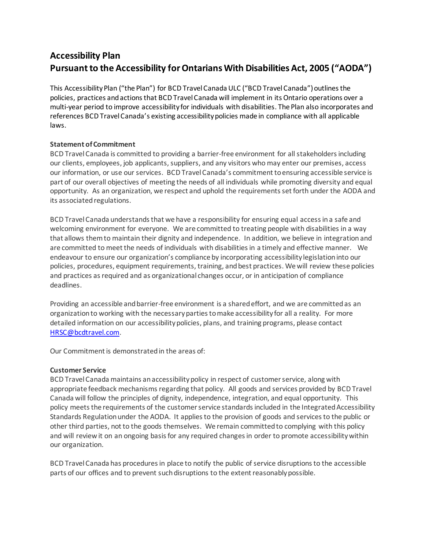# **Accessibility Plan Pursuant to the Accessibility forOntarians With Disabilities Act, 2005 ("AODA")**

This Accessibility Plan ("the Plan") for BCD Travel Canada ULC ("BCD Travel Canada") outlines the policies, practices and actions that BCD Travel Canada will implement in its Ontario operations over a multi-year period to improve accessibility for individuals with disabilities. The Plan also incorporates and references BCD Travel Canada's existing accessibility policies made in compliance with all applicable laws.

# **Statement of Commitment**

BCD Travel Canada is committed to providing a barrier-free environment for all stakeholders including our clients, employees, job applicants, suppliers, and any visitors who may enter our premises, access our information, or use our services. BCD Travel Canada's commitment to ensuring accessible service is part of our overall objectives of meeting the needs of all individuals while promoting diversity and equal opportunity. As an organization, we respect and uphold the requirements set forth under the AODA and its associated regulations.

BCD Travel Canada understands that we have a responsibility for ensuring equal access in a safe and welcoming environment for everyone. We are committed to treating people with disabilities in a way that allows them to maintain their dignity and independence. In addition, we believe in integration and are committed to meet the needs of individuals with disabilities in a timely and effective manner. We endeavour to ensure our organization's compliance by incorporating accessibility legislation into our policies, procedures, equipment requirements, training, and best practices. We will review these policies and practices as required and as organizational changes occur, or in anticipation of compliance deadlines.

Providing an accessible and barrier-free environment is a shared effort, and we are committed as an organization to working with the necessary parties to make accessibility for all a reality. For more detailed information on our accessibility policies, plans, and training programs, please contact [HRSC@bcdtravel.com](mailto:HRSC@bcdtravel.com).

Our Commitment is demonstrated in the areas of:

# **Customer Service**

BCD Travel Canada maintains an accessibility policy in respect of customer service, along with appropriate feedback mechanisms regarding that policy. All goods and services provided by BCD Travel Canada will follow the principles of dignity, independence, integration, and equal opportunity. This policy meets the requirements of the customer service standards included in the Integrated Accessibility Standards Regulation under the AODA. It applies to the provision of goods and services to the public or other third parties, not to the goods themselves. We remain committed to complying with this policy and will review it on an ongoing basis for any required changes in order to promote accessibility within our organization.

BCD Travel Canada has procedures in place to notify the public of service disruptions to the accessible parts of our offices and to prevent such disruptions to the extent reasonably possible.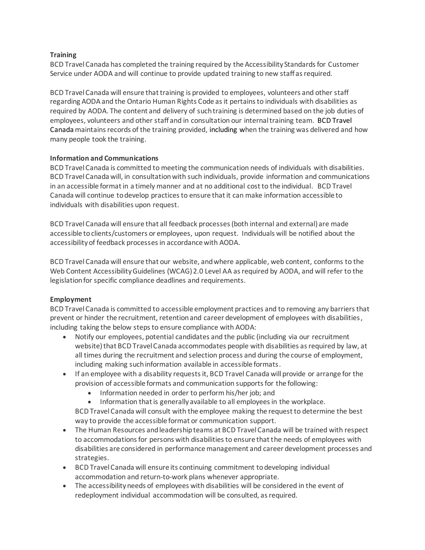## **Training**

BCD Travel Canada has completed the training required by the Accessibility Standards for Customer Service under AODA and will continue to provide updated training to new staff as required.

BCD Travel Canada will ensure that training is provided to employees, volunteers and other staff regarding AODA and the Ontario Human Rights Code as it pertains to individuals with disabilities as required by AODA. The content and delivery of such training is determined based on the job duties of employees, volunteers and other staff and in consultation our internal training team. BCD Travel Canada maintains records of the training provided, including when the training was delivered and how many people took the training.

## **Information and Communications**

BCD Travel Canada is committed to meeting the communication needs of individuals with disabilities. BCD Travel Canada will, in consultation with such individuals, provide information and communications in an accessible format in a timely manner and at no additional cost to the individual. BCD Travel Canada will continue to develop practices to ensure that it can make information accessible to individuals with disabilities upon request.

BCD Travel Canada will ensure that all feedback processes (both internal and external) are made accessible to clients/customers or employees, upon request. Individuals will be notified about the accessibility of feedback processes in accordance with AODA.

BCD Travel Canada will ensure that our website, and where applicable, web content, conforms to the Web Content Accessibility Guidelines (WCAG) 2.0 Level AA as required by AODA, and will refer to the legislation for specific compliance deadlines and requirements.

# **Employment**

BCD Travel Canada is committed to accessible employment practices and to removing any barriers that prevent or hinder the recruitment, retention and career development of employees with disabilities, including taking the below steps to ensure compliance with AODA:

- Notify our employees, potential candidates and the public (including via our recruitment website) that BCD Travel Canada accommodates people with disabilities as required by law, at all times during the recruitment and selection process and during the course of employment, including making such information available in accessible formats.
- If an employee with a disability requests it, BCD Travel Canada will provide or arrange for the provision of accessible formats and communication supports for the following:
	- Information needed in order to perform his/her job; and
	- Information that is generally available to all employees in the workplace.

BCD Travel Canada will consult with the employee making the request to determine the best way to provide the accessible format or communication support.

- The Human Resources and leadership teams at BCD Travel Canada will be trained with respect to accommodations for persons with disabilities to ensure that the needs of employees with disabilities are considered in performance management and career development processes and strategies.
- BCD Travel Canada will ensure its continuing commitment to developing individual accommodation and return-to-work plans whenever appropriate.
- The accessibility needs of employees with disabilities will be considered in the event of redeployment individual accommodation will be consulted, as required.